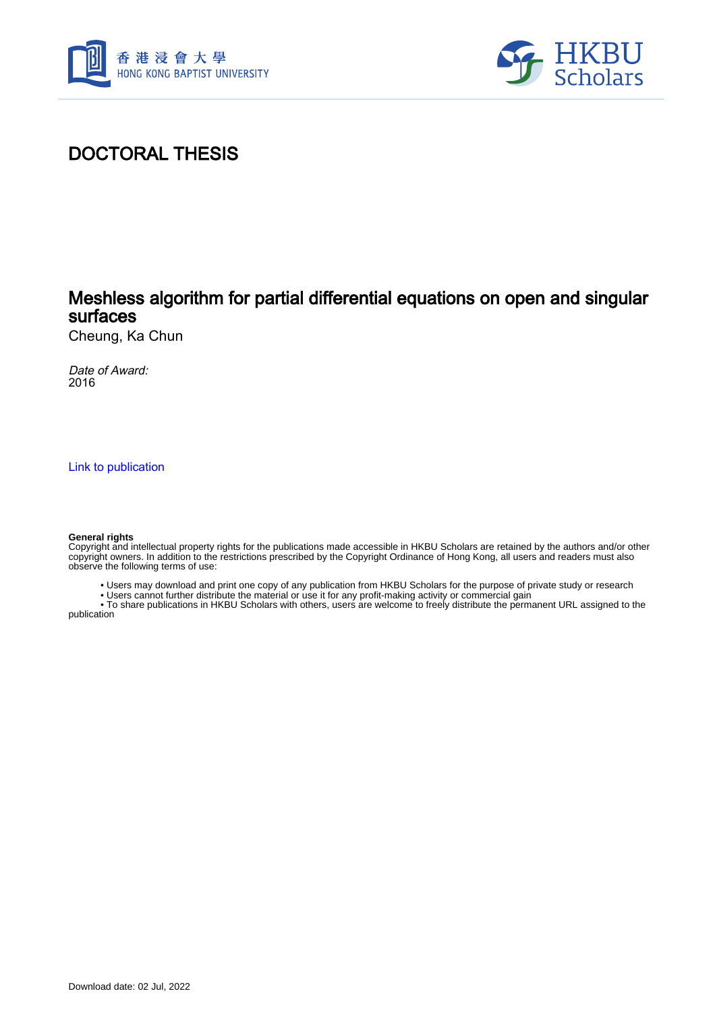



## DOCTORAL THESIS

### Meshless algorithm for partial differential equations on open and singular surfaces

Cheung, Ka Chun

Date of Award: 2016

[Link to publication](https://scholars.hkbu.edu.hk/en/studentTheses/5a6aaaad-5546-455a-9105-58deb06c9f29)

#### **General rights**

Copyright and intellectual property rights for the publications made accessible in HKBU Scholars are retained by the authors and/or other copyright owners. In addition to the restrictions prescribed by the Copyright Ordinance of Hong Kong, all users and readers must also observe the following terms of use:

- Users may download and print one copy of any publication from HKBU Scholars for the purpose of private study or research
- Users cannot further distribute the material or use it for any profit-making activity or commercial gain

 • To share publications in HKBU Scholars with others, users are welcome to freely distribute the permanent URL assigned to the publication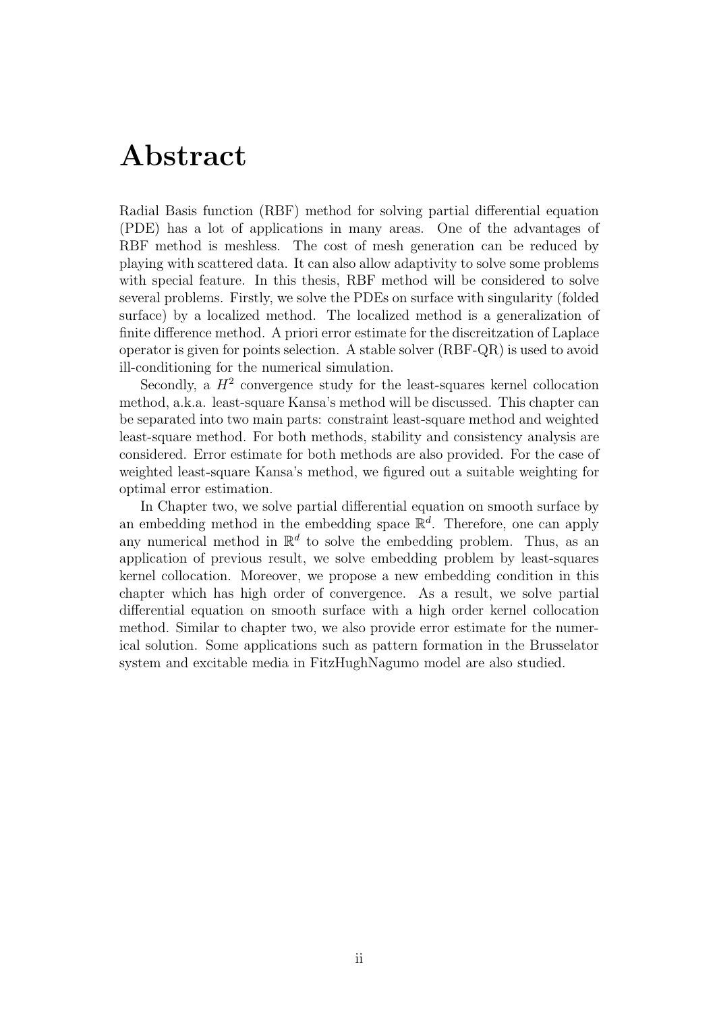## Abstract

Radial Basis function (RBF) method for solving partial differential equation (PDE) has a lot of applications in many areas. One of the advantages of RBF method is meshless. The cost of mesh generation can be reduced by playing with scattered data. It can also allow adaptivity to solve some problems with special feature. In this thesis, RBF method will be considered to solve several problems. Firstly, we solve the PDEs on surface with singularity (folded surface) by a localized method. The localized method is a generalization of finite difference method. A priori error estimate for the discreitzation of Laplace operator is given for points selection. A stable solver (RBF-QR) is used to avoid ill-conditioning for the numerical simulation.

Secondly, a  $H^2$  convergence study for the least-squares kernel collocation method, a.k.a. least-square Kansa's method will be discussed. This chapter can be separated into two main parts: constraint least-square method and weighted least-square method. For both methods, stability and consistency analysis are considered. Error estimate for both methods are also provided. For the case of weighted least-square Kansa's method, we figured out a suitable weighting for optimal error estimation.

In Chapter two, we solve partial differential equation on smooth surface by an embedding method in the embedding space  $\mathbb{R}^d$ . Therefore, one can apply any numerical method in  $\mathbb{R}^d$  to solve the embedding problem. Thus, as an application of previous result, we solve embedding problem by least-squares kernel collocation. Moreover, we propose a new embedding condition in this chapter which has high order of convergence. As a result, we solve partial differential equation on smooth surface with a high order kernel collocation method. Similar to chapter two, we also provide error estimate for the numerical solution. Some applications such as pattern formation in the Brusselator system and excitable media in FitzHughNagumo model are also studied.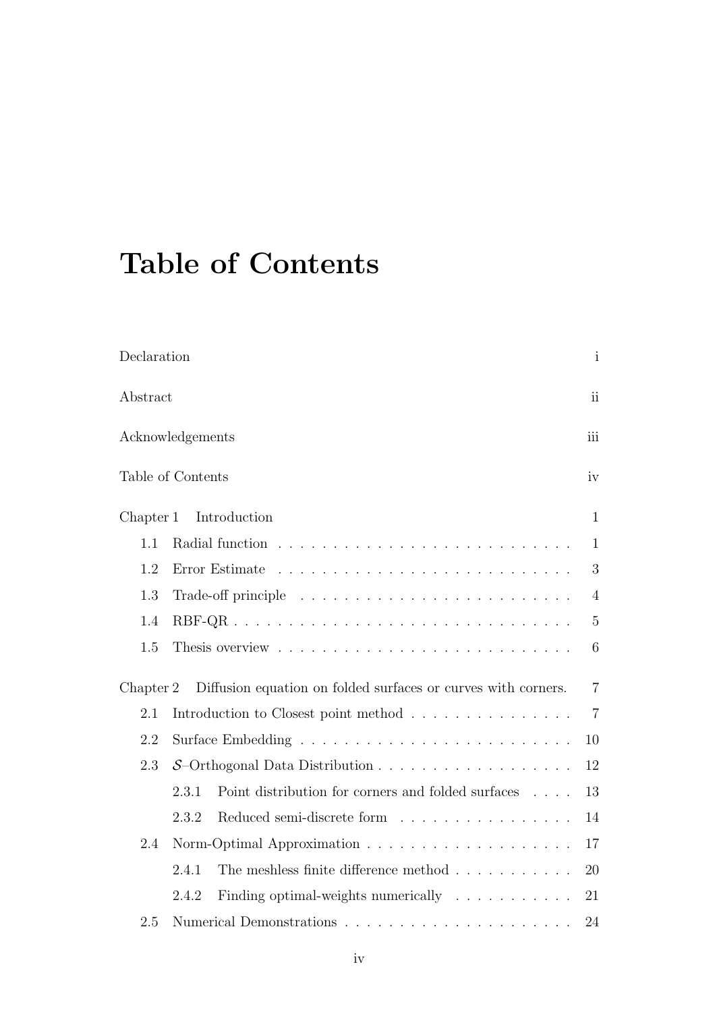# Table of Contents

| Declaration |                                                                                                | $\mathbf{i}$   |  |  |  |  |  |  |  |
|-------------|------------------------------------------------------------------------------------------------|----------------|--|--|--|--|--|--|--|
| Abstract    |                                                                                                | ii             |  |  |  |  |  |  |  |
|             | Acknowledgements                                                                               | iii            |  |  |  |  |  |  |  |
|             | Table of Contents                                                                              | iv             |  |  |  |  |  |  |  |
| Chapter 1   | Introduction                                                                                   | $\mathbf{1}$   |  |  |  |  |  |  |  |
| 1.1         |                                                                                                | $\mathbf{1}$   |  |  |  |  |  |  |  |
| 1.2         | Error Estimate                                                                                 | 3              |  |  |  |  |  |  |  |
| 1.3         |                                                                                                | $\overline{4}$ |  |  |  |  |  |  |  |
| 1.4         |                                                                                                | $\overline{5}$ |  |  |  |  |  |  |  |
| 1.5         |                                                                                                | 6              |  |  |  |  |  |  |  |
| Chapter 2   | Diffusion equation on folded surfaces or curves with corners.                                  | $\overline{7}$ |  |  |  |  |  |  |  |
| 2.1         | Introduction to Closest point method                                                           | $\overline{7}$ |  |  |  |  |  |  |  |
| 2.2         | 10                                                                                             |                |  |  |  |  |  |  |  |
| 2.3         | $S$ -Orthogonal Data Distribution                                                              | 12             |  |  |  |  |  |  |  |
|             | Point distribution for corners and folded surfaces $\phantom{1} \ldots \phantom{1}$ .<br>2.3.1 | 13             |  |  |  |  |  |  |  |
|             | Reduced semi-discrete form<br>2.3.2                                                            | 14             |  |  |  |  |  |  |  |
| 2.4         |                                                                                                | 17             |  |  |  |  |  |  |  |
|             | The meshless finite difference method $.\,.\,.\,.\,.\,.\,.\,.\,.\,.\,.\,.\,$<br>2.4.1          | 20             |  |  |  |  |  |  |  |
|             | Finding optimal-weights numerically $\ldots \ldots \ldots$<br>2.4.2                            | 21             |  |  |  |  |  |  |  |
| 2.5         |                                                                                                | 24             |  |  |  |  |  |  |  |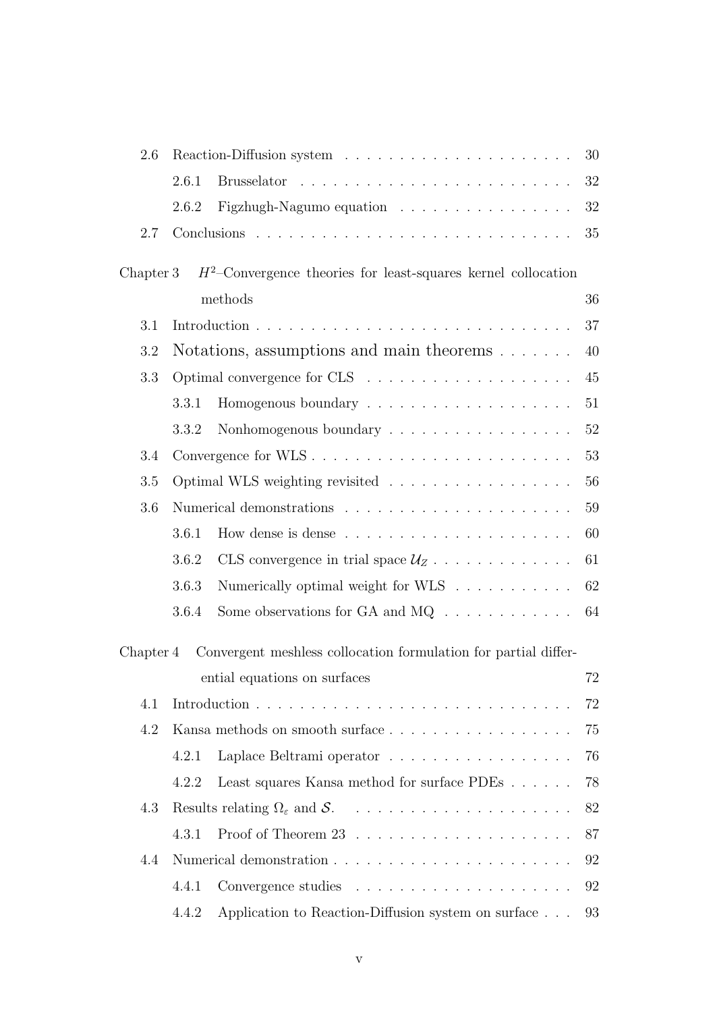| 2.6       |                                          |                                                                  | 30 |
|-----------|------------------------------------------|------------------------------------------------------------------|----|
|           | 2.6.1                                    |                                                                  | 32 |
|           | 2.6.2                                    | Figzhugh-Nagumo equation                                         | 32 |
| 2.7       |                                          |                                                                  | 35 |
| Chapter 3 |                                          | $H^2$ -Convergence theories for least-squares kernel collocation |    |
|           |                                          | methods                                                          | 36 |
| 3.1       |                                          |                                                                  | 37 |
| 3.2       | Notations, assumptions and main theorems | 40                                                               |    |
| 3.3       |                                          |                                                                  | 45 |
|           | 3.3.1                                    |                                                                  | 51 |
|           | 3.3.2                                    | Nonhomogenous boundary                                           | 52 |
| 3.4       |                                          |                                                                  | 53 |
| 3.5       |                                          | Optimal WLS weighting revisited                                  | 56 |
| 3.6       |                                          |                                                                  | 59 |
|           | 3.6.1                                    |                                                                  | 60 |
|           | 3.6.2                                    | CLS convergence in trial space $\mathcal{U}_Z$                   | 61 |
|           | 3.6.3                                    | Numerically optimal weight for WLS $\ldots \ldots \ldots$        | 62 |
|           | 3.6.4                                    | Some observations for GA and $MQ \dots \dots \dots \dots$        | 64 |
| Chapter 4 |                                          | Convergent meshless collocation formulation for partial differ-  |    |
|           |                                          | ential equations on surfaces                                     | 72 |
| 4.1       |                                          |                                                                  | 72 |
| 4.2       |                                          | Kansa methods on smooth surface                                  | 75 |
|           | 4.2.1                                    | Laplace Beltrami operator                                        | 76 |
|           | 4.2.2                                    | Least squares Kansa method for surface PDEs                      | 78 |
| 4.3       |                                          |                                                                  | 82 |
|           | 4.3.1                                    | Proof of Theorem $23$                                            | 87 |
| 4.4       |                                          |                                                                  | 92 |
|           | 4.4.1                                    |                                                                  | 92 |
|           | 4.4.2                                    | Application to Reaction-Diffusion system on surface              | 93 |